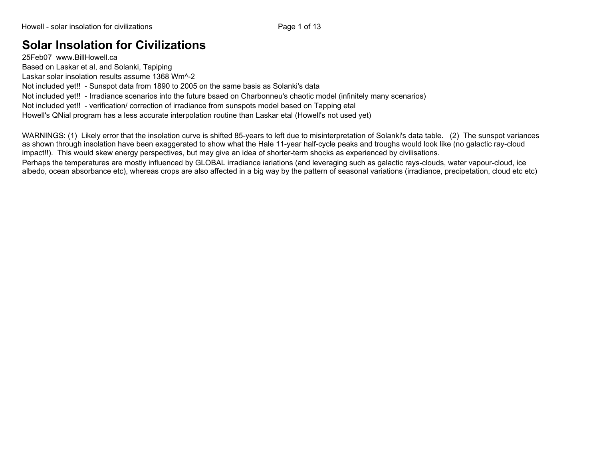## **Solar Insolation for Civilizations**

25Feb07 www.BillHowell.ca Based on Laskar et al, and Solanki, Tapiping Laskar solar insolation results assume 1368 Wm^-2 Not included yet!! - Sunspot data from 1890 to 2005 on the same basis as Solanki's data Not included yet!! - Irradiance scenarios into the future bsaed on Charbonneu's chaotic model (infinitely many scenarios) Not included yet!! - verification/ correction of irradiance from sunspots model based on Tapping etal Howell's QNial program has a less accurate interpolation routine than Laskar etal (Howell's not used yet)

WARNINGS: (1) Likely error that the insolation curve is shifted 85-years to left due to misinterpretation of Solanki's data table. (2) The sunspot variances as shown through insolation have been exaggerated to show what the Hale 11-year half-cycle peaks and troughs would look like (no galactic ray-cloud impact!!). This would skew energy perspectives, but may give an idea of shorter-term shocks as experienced by civilisations.

Perhaps the temperatures are mostly influenced by GLOBAL irradiance iariations (and leveraging such as galactic rays-clouds, water vapour-cloud, ice albedo, ocean absorbance etc), whereas crops are also affected in a big way by the pattern of seasonal variations (irradiance, precipetation, cloud etc etc)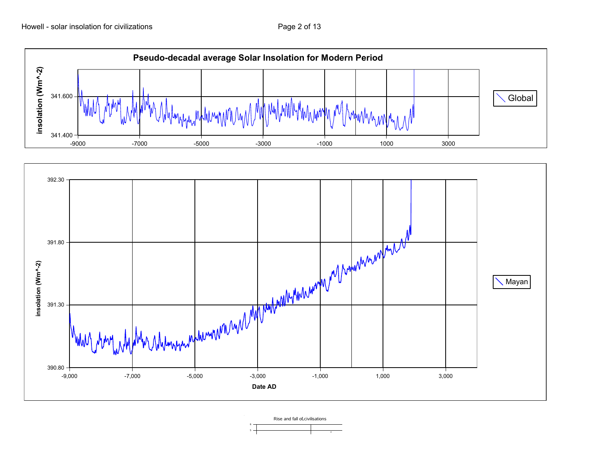



Rise and fall of civilisations

5 6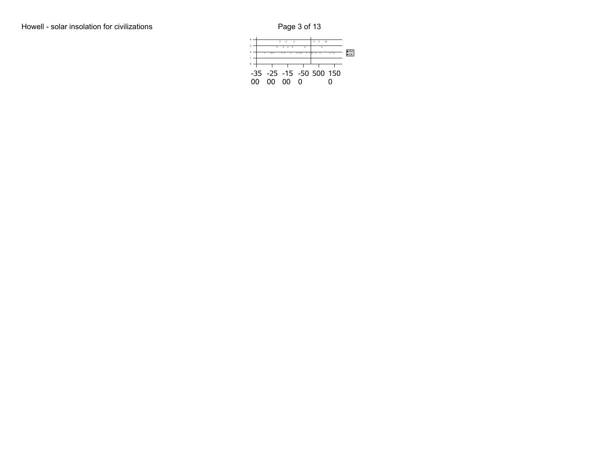6 Rise and fall of civilisations

|    |    | $\overline{\mathbf{z}}$<br>$\overline{\mathbf{a}}$ | $\overline{\mathbf{a}}$ |   | R | $\overline{\mathbf{a}}$ | 33                      |              |
|----|----|----------------------------------------------------|-------------------------|---|---|-------------------------|-------------------------|--------------|
|    |    |                                                    |                         |   |   |                         |                         | <b>n</b> Ris |
|    |    |                                                    |                         |   |   |                         |                         |              |
|    |    |                                                    |                         |   |   |                         |                         |              |
| nn | ററ |                                                    | nn                      | 0 |   |                         | -35 -25 -15 -50 500 150 |              |
|    |    |                                                    |                         |   |   |                         |                         |              |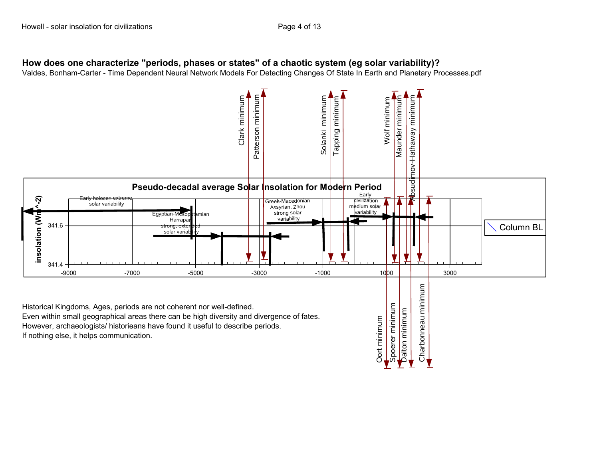## **How does one characterize "periods, phases or states" of a chaotic system (eg solar variability)?**

Valdes, Bonham-Carter - Time Dependent Neural Network Models For Detecting Changes Of State In Earth and Planetary Processes.pdf

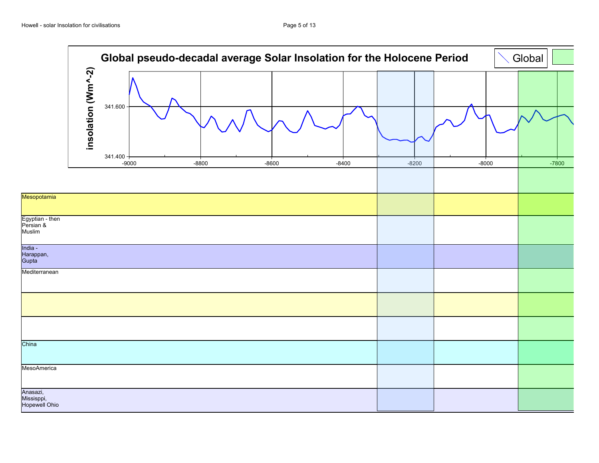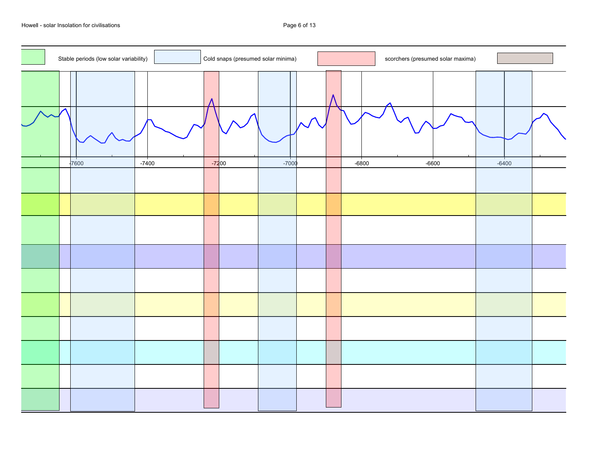Howell - solar Insolation for civilisations **Page 6 of 13** and the Unit of the Page 6 of 13

| examples and the scorchers (presumed solar maxima)<br>Stable periods (low solar variability) Cold snaps (presumed solar minima)<br>and the company of the company of<br><u> Andre Stadt van de Stadt van de Stadt van de Stadt van de Stadt van de Stadt van de Stadt van de Stadt van de</u> |
|-----------------------------------------------------------------------------------------------------------------------------------------------------------------------------------------------------------------------------------------------------------------------------------------------|
|                                                                                                                                                                                                                                                                                               |
|                                                                                                                                                                                                                                                                                               |
|                                                                                                                                                                                                                                                                                               |
|                                                                                                                                                                                                                                                                                               |
|                                                                                                                                                                                                                                                                                               |
|                                                                                                                                                                                                                                                                                               |
|                                                                                                                                                                                                                                                                                               |
|                                                                                                                                                                                                                                                                                               |
|                                                                                                                                                                                                                                                                                               |
|                                                                                                                                                                                                                                                                                               |
|                                                                                                                                                                                                                                                                                               |
|                                                                                                                                                                                                                                                                                               |
|                                                                                                                                                                                                                                                                                               |
|                                                                                                                                                                                                                                                                                               |
|                                                                                                                                                                                                                                                                                               |
|                                                                                                                                                                                                                                                                                               |
|                                                                                                                                                                                                                                                                                               |
|                                                                                                                                                                                                                                                                                               |
|                                                                                                                                                                                                                                                                                               |
|                                                                                                                                                                                                                                                                                               |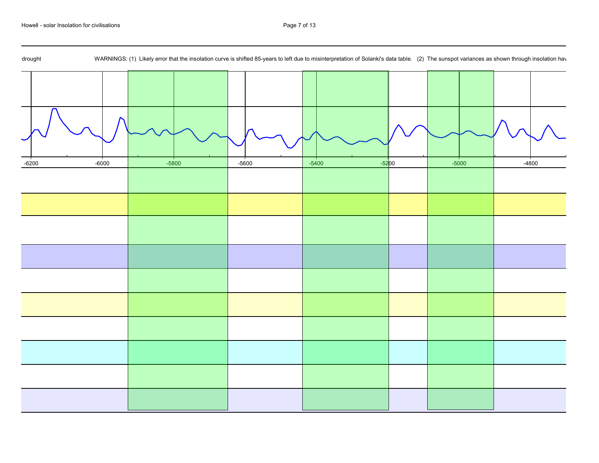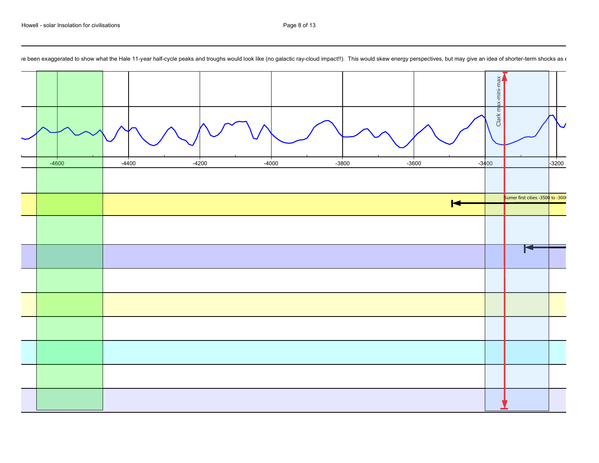

/e been exaggerated to show what the Hale 11-year half-cycle peaks and troughs would look like (no galactic ray-cloud impact!!). This would skew energy perspectives, but may give an idea of shorter-term shocks as a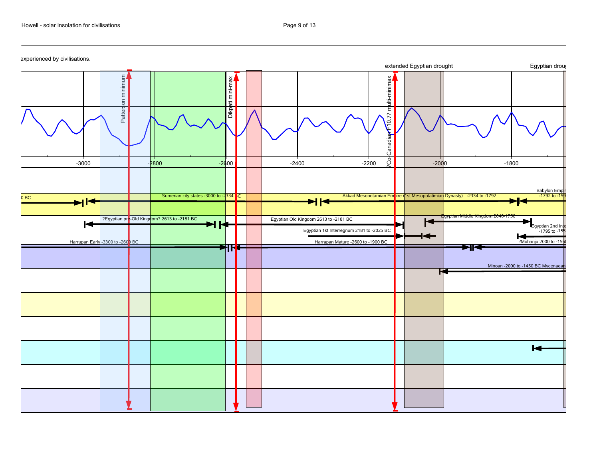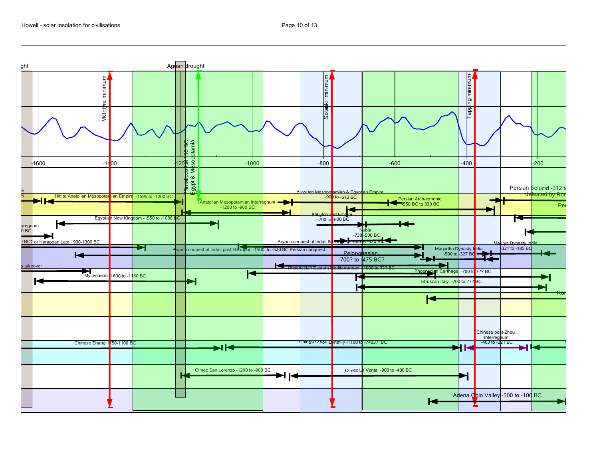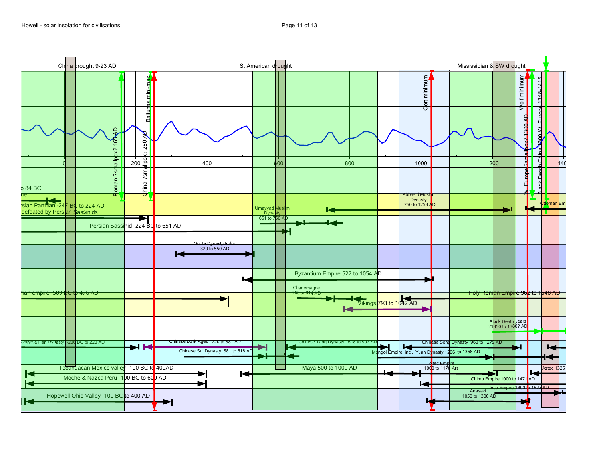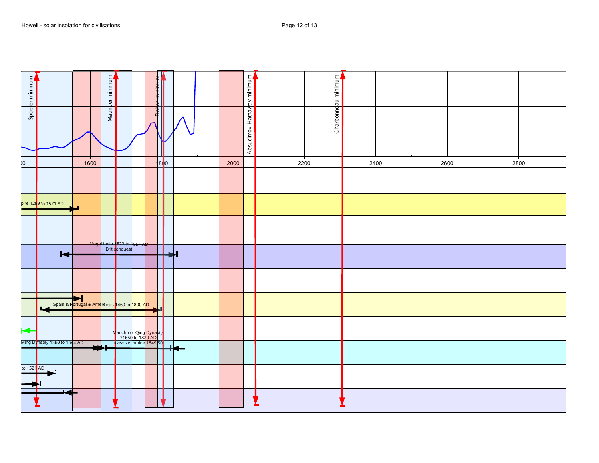| Page 12 of 13 |  |
|---------------|--|
|               |  |

| ┽╌╂ <del>┈┧┈┧╌┧╏╎</del> ╌                                                                                                                                                                                                                                                                                                                           |                                                                                                                                                                                                                                            |  |  |
|-----------------------------------------------------------------------------------------------------------------------------------------------------------------------------------------------------------------------------------------------------------------------------------------------------------------------------------------------------|--------------------------------------------------------------------------------------------------------------------------------------------------------------------------------------------------------------------------------------------|--|--|
|                                                                                                                                                                                                                                                                                                                                                     |                                                                                                                                                                                                                                            |  |  |
| ═╉══╉══┽╾╝═┽╃╌┧╾╾╾                                                                                                                                                                                                                                                                                                                                  | pire 129 <mark>9 to 1571 AD and the set of the set of the set of the set of the set of the set of the set of the set of the set of the set of the set of the set of the set of the set of the set of the set of the set of the set </mark> |  |  |
|                                                                                                                                                                                                                                                                                                                                                     |                                                                                                                                                                                                                                            |  |  |
|                                                                                                                                                                                                                                                                                                                                                     |                                                                                                                                                                                                                                            |  |  |
|                                                                                                                                                                                                                                                                                                                                                     |                                                                                                                                                                                                                                            |  |  |
| Mogu <sup>l</sup> India 523 to 1857 April 1998<br>Brit conquest<br>Distribution of the Conquest Section of the Conquest<br>Distribution of the Conquest Section of the Conquest Section of the Conquest Section of the Conquest Section of the Co                                                                                                   |                                                                                                                                                                                                                                            |  |  |
|                                                                                                                                                                                                                                                                                                                                                     |                                                                                                                                                                                                                                            |  |  |
|                                                                                                                                                                                                                                                                                                                                                     |                                                                                                                                                                                                                                            |  |  |
|                                                                                                                                                                                                                                                                                                                                                     |                                                                                                                                                                                                                                            |  |  |
|                                                                                                                                                                                                                                                                                                                                                     |                                                                                                                                                                                                                                            |  |  |
|                                                                                                                                                                                                                                                                                                                                                     |                                                                                                                                                                                                                                            |  |  |
|                                                                                                                                                                                                                                                                                                                                                     | Spain & Portugal & Americas 1469 to 1800 AD<br>Manchu or Qing Dynasty<br>Ming Dynasty 1368 to 1644 AD<br>Manchu or Qing Dynasty<br>1650 to 1820 AD<br>Inassive famine 1849/50                                                              |  |  |
|                                                                                                                                                                                                                                                                                                                                                     |                                                                                                                                                                                                                                            |  |  |
|                                                                                                                                                                                                                                                                                                                                                     |                                                                                                                                                                                                                                            |  |  |
|                                                                                                                                                                                                                                                                                                                                                     |                                                                                                                                                                                                                                            |  |  |
|                                                                                                                                                                                                                                                                                                                                                     |                                                                                                                                                                                                                                            |  |  |
|                                                                                                                                                                                                                                                                                                                                                     |                                                                                                                                                                                                                                            |  |  |
|                                                                                                                                                                                                                                                                                                                                                     |                                                                                                                                                                                                                                            |  |  |
|                                                                                                                                                                                                                                                                                                                                                     |                                                                                                                                                                                                                                            |  |  |
|                                                                                                                                                                                                                                                                                                                                                     |                                                                                                                                                                                                                                            |  |  |
|                                                                                                                                                                                                                                                                                                                                                     |                                                                                                                                                                                                                                            |  |  |
| $\begin{picture}(100,10) \put(0,0){\line(1,0){10}} \put(10,0){\line(1,0){10}} \put(10,0){\line(1,0){10}} \put(10,0){\line(1,0){10}} \put(10,0){\line(1,0){10}} \put(10,0){\line(1,0){10}} \put(10,0){\line(1,0){10}} \put(10,0){\line(1,0){10}} \put(10,0){\line(1,0){10}} \put(10,0){\line(1,0){10}} \put(10,0){\line(1,0){10}} \put(10,0){\line($ |                                                                                                                                                                                                                                            |  |  |
|                                                                                                                                                                                                                                                                                                                                                     |                                                                                                                                                                                                                                            |  |  |
|                                                                                                                                                                                                                                                                                                                                                     |                                                                                                                                                                                                                                            |  |  |